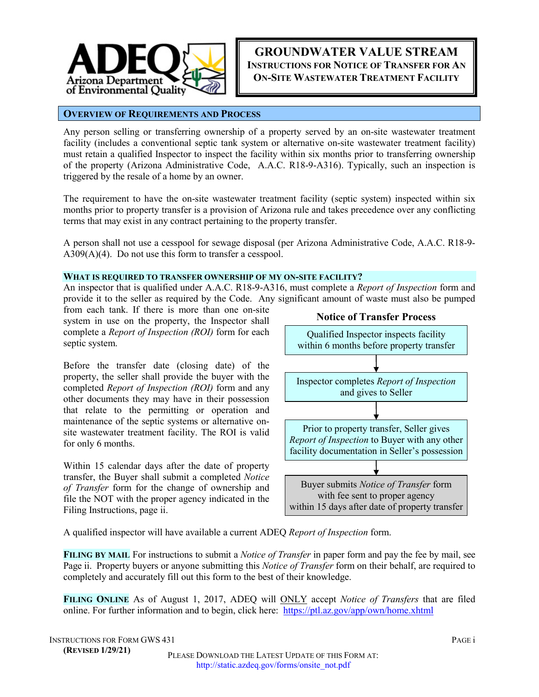

# **GROUNDWATER VALUE STREAM INSTRUCTIONS FOR NOTICE OF TRANSFER FOR AN ON-SITE WASTEWATER TREATMENT FACILITY**

### **OVERVIEW OF REQUIREMENTS AND PROCESS**

Any person selling or transferring ownership of a property served by an on-site wastewater treatment facility (includes a conventional septic tank system or alternative on-site wastewater treatment facility) must retain a qualified Inspector to inspect the facility within six months prior to transferring ownership of the property (Arizona Administrative Code, A.A.C. R18-9-A316). Typically, such an inspection is triggered by the resale of a home by an owner.

The requirement to have the on-site wastewater treatment facility (septic system) inspected within six months prior to property transfer is a provision of Arizona rule and takes precedence over any conflicting terms that may exist in any contract pertaining to the property transfer.

A person shall not use a cesspool for sewage disposal (per Arizona Administrative Code, A.A.C. R18-9- A309(A)(4). Do not use this form to transfer a cesspool.

#### **WHAT IS REQUIRED TO TRANSFER OWNERSHIP OF MY ON-SITE FACILITY?**

An inspector that is qualified under A.A.C. R18-9-A316, must complete a *Report of Inspection* form and provide it to the seller as required by the Code. Any significant amount of waste must also be pumped

from each tank. If there is more than one on-site system in use on the property, the Inspector shall complete a *Report of Inspection (ROI)* form for each septic system.

Before the transfer date (closing date) of the property, the seller shall provide the buyer with the completed *Report of Inspection (ROI)* form and any other documents they may have in their possession that relate to the permitting or operation and maintenance of the septic systems or alternative onsite wastewater treatment facility. The ROI is valid for only 6 months.

Within 15 calendar days after the date of property transfer, the Buyer shall submit a completed *Notice of Transfer* form for the change of ownership and file the NOT with the proper agency indicated in the Filing Instructions, page ii.



A qualified inspector will have available a current ADEQ *Report of Inspection* form.

**FILING BY MAIL** For instructions to submit a *Notice of Transfer* in paper form and pay the fee by mail, see Page ii. Property buyers or anyone submitting this *Notice of Transfer* form on their behalf, are required to completely and accurately fill out this form to the best of their knowledge.

**FILING ONLINE** As of August 1, 2017, ADEQ will ONLY accept *Notice of Transfers* that are filed online. For further information and to begin, click here: <https://ptl.az.gov/app/own/home.xhtml>

INSTRUCTIONS FOR FORM GWS 431 PAGE i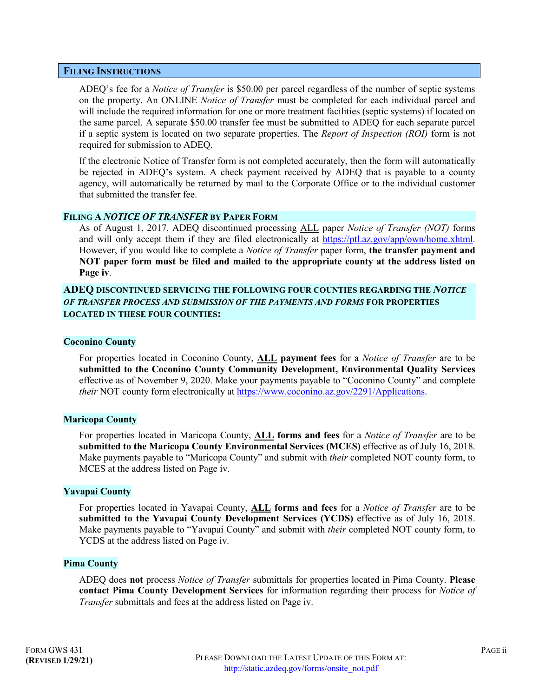### **FILING INSTRUCTIONS**

ADEQ's fee for a *Notice of Transfer* is \$50.00 per parcel regardless of the number of septic systems on the property. An ONLINE *Notice of Transfer* must be completed for each individual parcel and will include the required information for one or more treatment facilities (septic systems) if located on the same parcel. A separate \$50.00 transfer fee must be submitted to ADEQ for each separate parcel if a septic system is located on two separate properties. The *Report of Inspection (ROI)* form is not required for submission to ADEQ.

If the electronic Notice of Transfer form is not completed accurately, then the form will automatically be rejected in ADEQ's system. A check payment received by ADEQ that is payable to a county agency, will automatically be returned by mail to the Corporate Office or to the individual customer that submitted the transfer fee.

#### **FILING A** *NOTICE OF TRANSFER* **BY PAPER FORM**

As of August 1, 2017, ADEQ discontinued processing ALL paper *Notice of Transfer (NOT)* forms and will only accept them if they are filed electronically at https://ptl.az.gov/app/own/home.xhtml. However, if you would like to complete a *Notice of Transfer* paper form, **the transfer payment and NOT paper form must be filed and mailed to the appropriate county at the address listed on Page iv**.

## **ADEQ DISCONTINUED SERVICING THE FOLLOWING FOUR COUNTIES REGARDING THE** *NOTICE OF TRANSFER PROCESS AND SUBMISSION OF THE PAYMENTS AND FORMS* **FOR PROPERTIES LOCATED IN THESE FOUR COUNTIES:**

### **Coconino County**

For properties located in Coconino County, **ALL payment fees** for a *Notice of Transfer* are to be **submitted to the Coconino County Community Development, Environmental Quality Services** effective as of November 9, 2020. Make your payments payable to "Coconino County" and complete *their* NOT county form electronically at [https://www.coconino.az.gov/2291/Applications.](https://www.coconino.az.gov/2291/Applications)

#### **Maricopa County**

For properties located in Maricopa County, **ALL forms and fees** for a *Notice of Transfer* are to be **submitted to the Maricopa County Environmental Services (MCES)** effective as of July 16, 2018. Make payments payable to "Maricopa County" and submit with *their* completed NOT county form, to MCES at the address listed on Page iv.

#### **Yavapai County**

For properties located in Yavapai County, **ALL forms and fees** for a *Notice of Transfer* are to be **submitted to the Yavapai County Development Services (YCDS)** effective as of July 16, 2018. Make payments payable to "Yavapai County" and submit with *their* completed NOT county form, to YCDS at the address listed on Page iv.

### **Pima County**

ADEQ does **not** process *Notice of Transfer* submittals for properties located in Pima County. **Please contact Pima County Development Services** for information regarding their process for *Notice of Transfer* submittals and fees at the address listed on Page iv.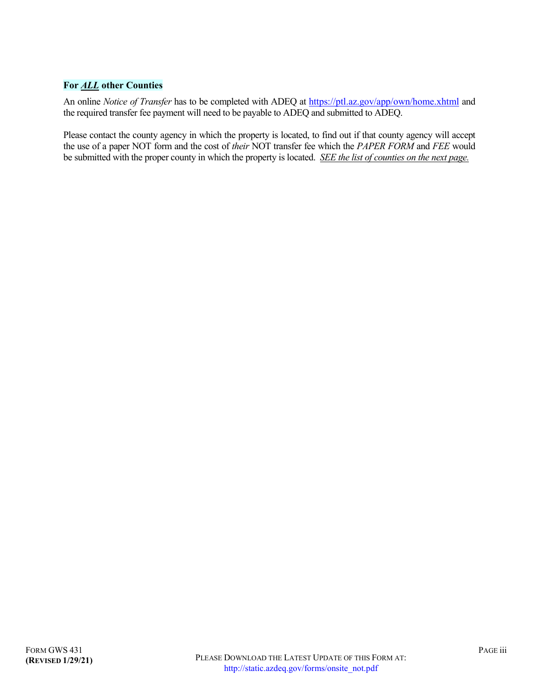# **For** *ALL* **other Counties**

An online *Notice of Transfer* has to be completed with ADEQ at<https://ptl.az.gov/app/own/home.xhtml> and the required transfer fee payment will need to be payable to ADEQ and submitted to ADEQ.

Please contact the county agency in which the property is located, to find out if that county agency will accept the use of a paper NOT form and the cost of *their* NOT transfer fee which the *PAPER FORM* and *FEE* would be submitted with the proper county in which the property is located. *SEE the list of counties on the next page.*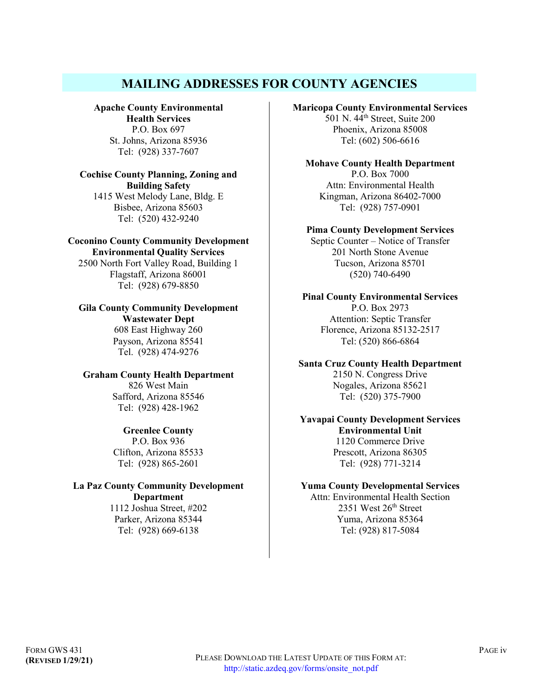# **MAILING ADDRESSES FOR COUNTY AGENCIES**

**Apache County Environmental Health Services** P.O. Box 697 St. Johns, Arizona 85936 Tel: (928) 337-7607

### **Cochise County Planning, Zoning and Building Safety** 1415 West Melody Lane, Bldg. E Bisbee, Arizona 85603 Tel: (520) 432-9240

### **Coconino County Community Development Environmental Quality Services**

2500 North Fort Valley Road, Building 1 Flagstaff, Arizona 86001 Tel: (928) 679-8850

# **Gila County Community Development Wastewater Dept**

608 East Highway 260 Payson, Arizona 85541 Tel. (928) 474-9276

**Graham County Health Department** 826 West Main Safford, Arizona 85546 Tel: (928) 428-1962

# **Greenlee County**

P.O. Box 936 Clifton, Arizona 85533 Tel: (928) 865-2601

# **La Paz County Community Development Department**

1112 Joshua Street, #202 Parker, Arizona 85344 Tel: (928) 669-6138

### **Maricopa County Environmental Services**

 $501$  N.  $44$ <sup>th</sup> Street, Suite 200 Phoenix, Arizona 85008 Tel: (602) 506-6616

**Mohave County Health Department** P.O. Box 7000 Attn: Environmental Health Kingman, Arizona 86402-7000 Tel: (928) 757-0901

### **Pima County Development Services**

Septic Counter – Notice of Transfer 201 North Stone Avenue Tucson, Arizona 85701 (520) 740-6490

#### **Pinal County Environmental Services**  P.O. Box 2973 Attention: Septic Transfer Florence, Arizona 85132-2517 Tel: (520) 866-6864

**Santa Cruz County Health Department** 2150 N. Congress Drive Nogales, Arizona 85621 Tel: (520) 375-7900

### **Yavapai County Development Services Environmental Unit** 1120 Commerce Drive Prescott, Arizona 86305 Tel: (928) 771-3214

# **Yuma County Developmental Services**

Attn: Environmental Health Section 2351 West 26th Street Yuma, Arizona 85364 Tel: (928) 817-5084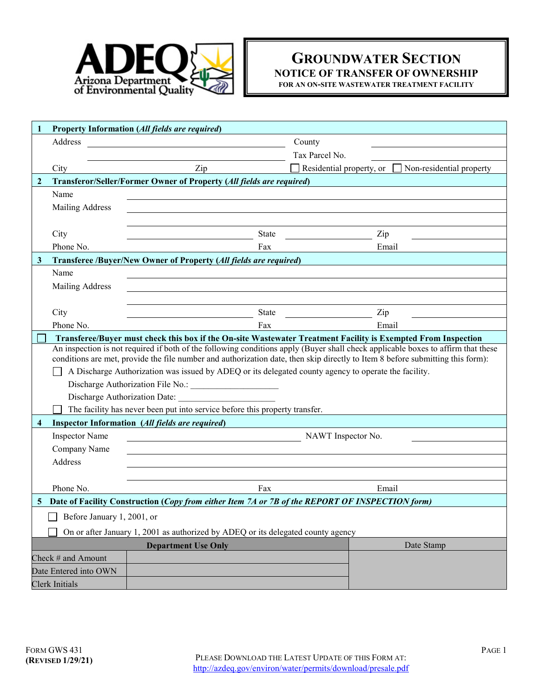

# **GROUNDWATER SECTION NOTICE OF TRANSFER OF OWNERSHIP FOR AN ON-SITE WASTEWATER TREATMENT FACILITY**

|                         |                                                                                                               | Property Information (All fields are required)                                                                                                                                                                                                                     |                |                                                   |  |
|-------------------------|---------------------------------------------------------------------------------------------------------------|--------------------------------------------------------------------------------------------------------------------------------------------------------------------------------------------------------------------------------------------------------------------|----------------|---------------------------------------------------|--|
|                         | Address                                                                                                       |                                                                                                                                                                                                                                                                    | County         |                                                   |  |
|                         |                                                                                                               |                                                                                                                                                                                                                                                                    | Tax Parcel No. |                                                   |  |
|                         | City                                                                                                          | Zip                                                                                                                                                                                                                                                                |                | Residential property, or Non-residential property |  |
| $\overline{2}$          |                                                                                                               | Transferor/Seller/Former Owner of Property (All fields are required)                                                                                                                                                                                               |                |                                                   |  |
|                         | Name                                                                                                          |                                                                                                                                                                                                                                                                    |                |                                                   |  |
|                         | Mailing Address                                                                                               |                                                                                                                                                                                                                                                                    |                |                                                   |  |
|                         |                                                                                                               |                                                                                                                                                                                                                                                                    |                |                                                   |  |
|                         | City                                                                                                          | State                                                                                                                                                                                                                                                              |                | Zip                                               |  |
|                         | Phone No.                                                                                                     | Fax                                                                                                                                                                                                                                                                |                | Email                                             |  |
| $\mathbf{3}$            |                                                                                                               | Transferee /Buyer/New Owner of Property (All fields are required)                                                                                                                                                                                                  |                |                                                   |  |
|                         | Name                                                                                                          |                                                                                                                                                                                                                                                                    |                |                                                   |  |
|                         | <b>Mailing Address</b>                                                                                        |                                                                                                                                                                                                                                                                    |                |                                                   |  |
|                         |                                                                                                               |                                                                                                                                                                                                                                                                    |                |                                                   |  |
|                         | City                                                                                                          | State                                                                                                                                                                                                                                                              |                | Zip                                               |  |
|                         | Phone No.                                                                                                     | Fax                                                                                                                                                                                                                                                                |                | Email                                             |  |
|                         | Transferee/Buyer must check this box if the On-site Wastewater Treatment Facility is Exempted From Inspection |                                                                                                                                                                                                                                                                    |                |                                                   |  |
|                         |                                                                                                               | An inspection is not required if both of the following conditions apply (Buyer shall check applicable boxes to affirm that these<br>conditions are met, provide the file number and authorization date, then skip directly to Item 8 before submitting this form): |                |                                                   |  |
|                         |                                                                                                               | A Discharge Authorization was issued by ADEQ or its delegated county agency to operate the facility.                                                                                                                                                               |                |                                                   |  |
|                         |                                                                                                               |                                                                                                                                                                                                                                                                    |                |                                                   |  |
|                         |                                                                                                               | Discharge Authorization Date:                                                                                                                                                                                                                                      |                |                                                   |  |
|                         |                                                                                                               | The facility has never been put into service before this property transfer.                                                                                                                                                                                        |                |                                                   |  |
| $\overline{\mathbf{4}}$ |                                                                                                               | Inspector Information (All fields are required)                                                                                                                                                                                                                    |                |                                                   |  |
|                         | <b>Inspector Name</b>                                                                                         | NAWT Inspector No.                                                                                                                                                                                                                                                 |                |                                                   |  |
|                         | Company Name                                                                                                  |                                                                                                                                                                                                                                                                    |                |                                                   |  |
|                         | Address                                                                                                       |                                                                                                                                                                                                                                                                    |                |                                                   |  |
|                         |                                                                                                               |                                                                                                                                                                                                                                                                    |                |                                                   |  |
|                         | Phone No.                                                                                                     | Fax                                                                                                                                                                                                                                                                |                | Email                                             |  |
|                         | Date of Facility Construction (Copy from either Item 7A or 7B of the REPORT OF INSPECTION form)               |                                                                                                                                                                                                                                                                    |                |                                                   |  |
|                         | Before January 1, 2001, or                                                                                    |                                                                                                                                                                                                                                                                    |                |                                                   |  |
|                         |                                                                                                               |                                                                                                                                                                                                                                                                    |                |                                                   |  |
|                         |                                                                                                               |                                                                                                                                                                                                                                                                    |                |                                                   |  |
|                         |                                                                                                               |                                                                                                                                                                                                                                                                    |                |                                                   |  |
|                         |                                                                                                               |                                                                                                                                                                                                                                                                    |                |                                                   |  |
| Clerk Initials          |                                                                                                               |                                                                                                                                                                                                                                                                    |                |                                                   |  |
|                         | Check # and Amount<br>Date Entered into OWN                                                                   | On or after January 1, 2001 as authorized by ADEQ or its delegated county agency<br><b>Department Use Only</b>                                                                                                                                                     |                | Date Stamp                                        |  |